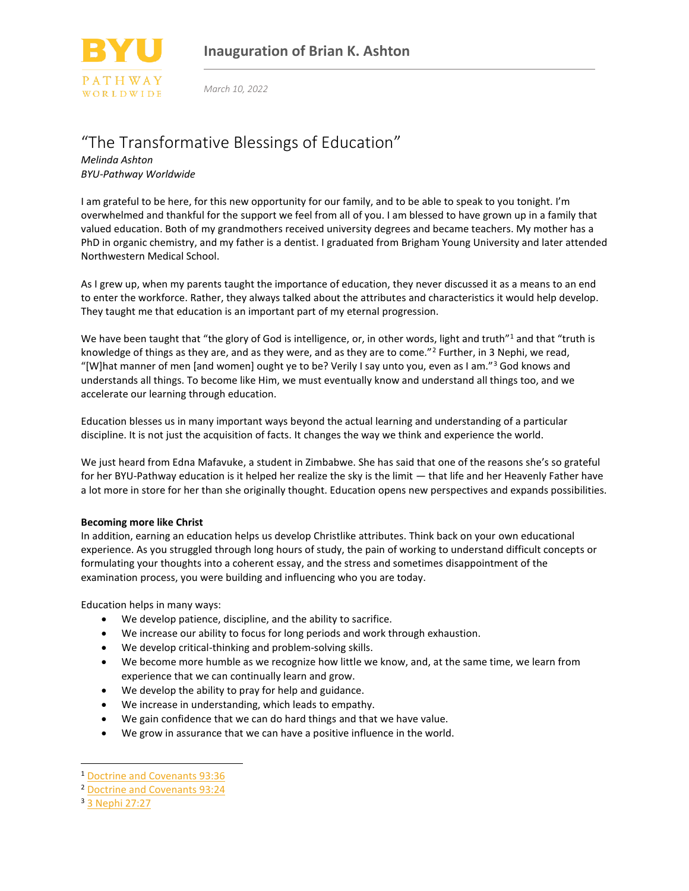

*March 10, 2022*

## "The Transformative Blessings of Education"

*Melinda Ashton BYU-Pathway Worldwide*

I am grateful to be here, for this new opportunity for our family, and to be able to speak to you tonight. I'm overwhelmed and thankful for the support we feel from all of you. I am blessed to have grown up in a family that valued education. Both of my grandmothers received university degrees and became teachers. My mother has a PhD in organic chemistry, and my father is a dentist. I graduated from Brigham Young University and later attended Northwestern Medical School.

As I grew up, when my parents taught the importance of education, they never discussed it as a means to an end to enter the workforce. Rather, they always talked about the attributes and characteristics it would help develop. They taught me that education is an important part of my eternal progression.

We have been taught that "the glory of God is intelligence, or, in other words, light and truth"<sup>1</sup> and that "truth is knowledge of things as they are, and as they were, and as they are to come."<sup>2</sup> Further, in 3 Nephi, we read, "[W]hat manner of men [and women] ought ye to be? Verily I say unto you, even as I am."<sup>3</sup> God knows and understands all things. To become like Him, we must eventually know and understand all things too, and we accelerate our learning through education.

Education blesses us in many important ways beyond the actual learning and understanding of a particular discipline. It is not just the acquisition of facts. It changes the way we think and experience the world.

We just heard from Edna Mafavuke, a student in Zimbabwe. She has said that one of the reasons she's so grateful for her BYU-Pathway education is it helped her realize the sky is the limit — that life and her Heavenly Father have a lot more in store for her than she originally thought. Education opens new perspectives and expands possibilities.

## **Becoming more like Christ**

In addition, earning an education helps us develop Christlike attributes. Think back on your own educational experience. As you struggled through long hours of study, the pain of working to understand difficult concepts or formulating your thoughts into a coherent essay, and the stress and sometimes disappointment of the examination process, you were building and influencing who you are today.

Education helps in many ways:

- We develop patience, discipline, and the ability to sacrifice.
- We increase our ability to focus for long periods and work through exhaustion.
- We develop critical-thinking and problem-solving skills.
- We become more humble as we recognize how little we know, and, at the same time, we learn from experience that we can continually learn and grow.
- We develop the ability to pray for help and guidance.
- We increase in understanding, which leads to empathy.
- We gain confidence that we can do hard things and that we have value.
- We grow in assurance that we can have a positive influence in the world.

<sup>1</sup> [Doctrine and Covenants 93:36](https://abn.churchofjesuschrist.org/study/scriptures/dc-testament/dc/93.36#p35)

<sup>2</sup> [Doctrine and Covenants 93:24](https://abn.churchofjesuschrist.org/study/scriptures/dc-testament/dc/93.24?#p23)

<sup>3</sup> [3 Nephi 27:27](https://abn.churchofjesuschrist.org/study/scriptures/bofm/3-ne/27.27#p26)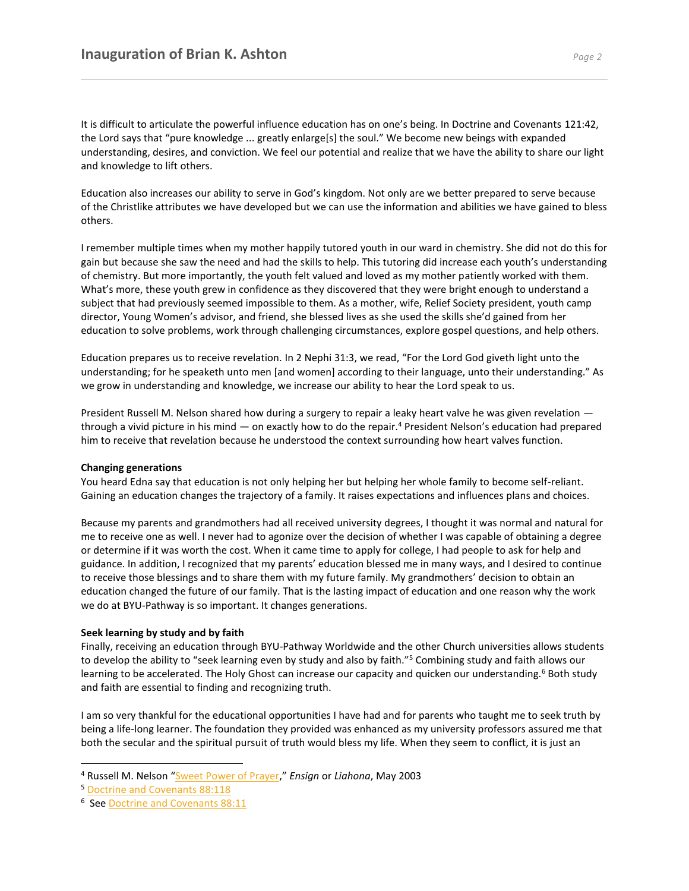It is difficult to articulate the powerful influence education has on one's being. In Doctrine and Covenants 121:42, the Lord says that "pure knowledge ... greatly enlarge[s] the soul." We become new beings with expanded understanding, desires, and conviction. We feel our potential and realize that we have the ability to share our light and knowledge to lift others.

Education also increases our ability to serve in God's kingdom. Not only are we better prepared to serve because of the Christlike attributes we have developed but we can use the information and abilities we have gained to bless others.

I remember multiple times when my mother happily tutored youth in our ward in chemistry. She did not do this for gain but because she saw the need and had the skills to help. This tutoring did increase each youth's understanding of chemistry. But more importantly, the youth felt valued and loved as my mother patiently worked with them. What's more, these youth grew in confidence as they discovered that they were bright enough to understand a subject that had previously seemed impossible to them. As a mother, wife, Relief Society president, youth camp director, Young Women's advisor, and friend, she blessed lives as she used the skills she'd gained from her education to solve problems, work through challenging circumstances, explore gospel questions, and help others.

Education prepares us to receive revelation. In 2 Nephi 31:3, we read, "For the Lord God giveth light unto the understanding; for he speaketh unto men [and women] according to their language, unto their understanding." As we grow in understanding and knowledge, we increase our ability to hear the Lord speak to us.

President Russell M. Nelson shared how during a surgery to repair a leaky heart valve he was given revelation through a vivid picture in his mind — on exactly how to do the repair.<sup>4</sup> President Nelson's education had prepared him to receive that revelation because he understood the context surrounding how heart valves function.

## **Changing generations**

You heard Edna say that education is not only helping her but helping her whole family to become self-reliant. Gaining an education changes the trajectory of a family. It raises expectations and influences plans and choices.

Because my parents and grandmothers had all received university degrees, I thought it was normal and natural for me to receive one as well. I never had to agonize over the decision of whether I was capable of obtaining a degree or determine if it was worth the cost. When it came time to apply for college, I had people to ask for help and guidance. In addition, I recognized that my parents' education blessed me in many ways, and I desired to continue to receive those blessings and to share them with my future family. My grandmothers' decision to obtain an education changed the future of our family. That is the lasting impact of education and one reason why the work we do at BYU-Pathway is so important. It changes generations.

## **Seek learning by study and by faith**

Finally, receiving an education through BYU-Pathway Worldwide and the other Church universities allows students to develop the ability to "seek learning even by study and also by faith."<sup>5</sup> Combining study and faith allows our learning to be accelerated. The Holy Ghost can increase our capacity and quicken our understanding.<sup>6</sup> Both study and faith are essential to finding and recognizing truth.

I am so very thankful for the educational opportunities I have had and for parents who taught me to seek truth by being a life-long learner. The foundation they provided was enhanced as my university professors assured me that both the secular and the spiritual pursuit of truth would bless my life. When they seem to conflict, it is just an

<sup>4</sup> Russell M. Nelson "[Sweet Power of Prayer,](https://abn.churchofjesuschrist.org/study/ensign/2003/05/sweet-power-of-prayer)" *Ensign* or *Liahona*, May 2003

<sup>5</sup> [Doctrine and Covenants 88:118](https://abn.churchofjesuschrist.org/study/scriptures/dc-testament/dc/88.118#p117)

<sup>&</sup>lt;sup>6</sup> See **Doctrine and Covenants 88:11**